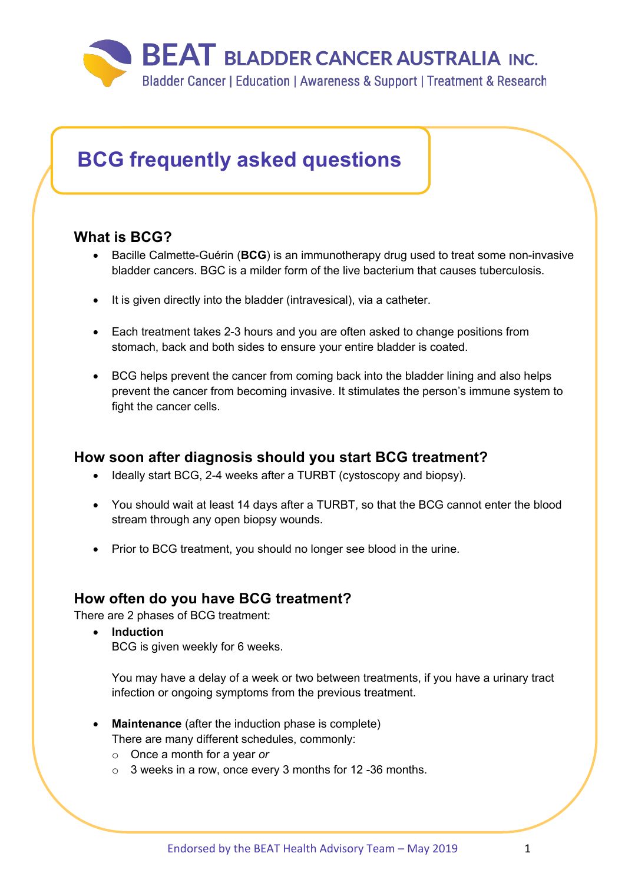

# **BCG frequently asked questions**

### **What is BCG?**

- Bacille Calmette-Guérin (**BCG**) is an immunotherapy drug used to treat some non-invasive bladder cancers. BGC is a milder form of the live bacterium that causes tuberculosis.
- It is given directly into the bladder (intravesical), via a catheter.
- Each treatment takes 2-3 hours and you are often asked to change positions from stomach, back and both sides to ensure your entire bladder is coated.
- BCG helps prevent the cancer from coming back into the bladder lining and also helps prevent the cancer from becoming invasive. It stimulates the person's immune system to fight the cancer cells.

### **How soon after diagnosis should you start BCG treatment?**

- Ideally start BCG, 2-4 weeks after a TURBT (cystoscopy and biopsy).
- You should wait at least 14 days after a TURBT, so that the BCG cannot enter the blood stream through any open biopsy wounds.
- Prior to BCG treatment, you should no longer see blood in the urine.

### **How often do you have BCG treatment?**

There are 2 phases of BCG treatment:

• **Induction** BCG is given weekly for 6 weeks.

You may have a delay of a week or two between treatments, if you have a urinary tract infection or ongoing symptoms from the previous treatment.

- **Maintenance** (after the induction phase is complete) There are many different schedules, commonly:
	- o Once a month for a year *or*
	- o 3 weeks in a row, once every 3 months for 12 -36 months.